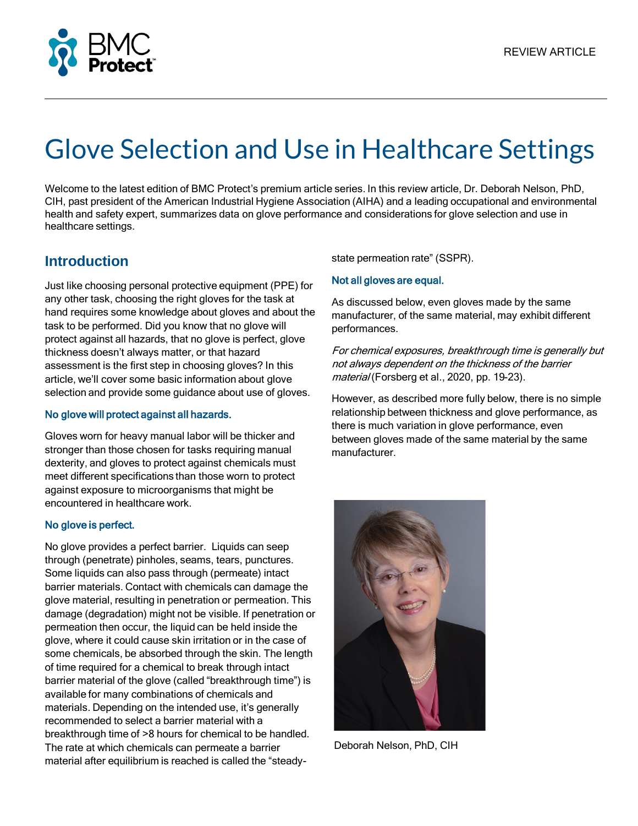

# Glove Selection and Use in Healthcare Settings

Welcome to the latest edition of BMC Protect's premium article series. In this review article, Dr. Deborah Nelson, PhD, CIH, past president of the American Industrial Hygiene Association (AIHA) and a leading occupational and environmental health and safety expert, summarizes data on glove performance and considerations for glove selection and use in healthcare settings.

## **Introduction**

Just like choosing personal protective equipment (PPE) for any other task, choosing the right gloves for the task at hand requires some knowledge about gloves and about the task to be performed. Did you know that no glove will protect against all hazards, that no glove is perfect, glove thickness doesn't always matter, or that hazard assessment is the first step in choosing gloves? In this article, we'll cover some basic information about glove selection and provide some guidance about use of gloves.

#### No glove will protect against all hazards.

Gloves worn for heavy manual labor will be thicker and stronger than those chosen for tasks requiring manual dexterity, and gloves to protect against chemicals must meet different specifications than those worn to protect against exposure to microorganisms that might be encountered in healthcare work.

#### No glove is perfect.

No glove provides a perfect barrier. Liquids can seep through (penetrate) pinholes, seams, tears, punctures. Some liquids can also pass through (permeate) intact barrier materials. Contact with chemicals can damage the glove material, resulting in penetration or permeation. This damage (degradation) might not be visible. If penetration or permeation then occur, the liquid can be held inside the glove, where it could cause skin irritation or in the case of some chemicals, be absorbed through the skin. The length of time required for a chemical to break through intact barrier material of the glove (called "breakthrough time") is available for many combinations of chemicals and materials. Depending on the intended use, it's generally recommended to select a barrier material with a breakthrough time of >8 hours for chemical to be handled. The rate at which chemicals can permeate a barrier material after equilibrium is reached is called the "steadystate permeation rate" (SSPR).

#### Not all gloves are equal.

As discussed below, even gloves made by the same manufacturer, of the same material, may exhibit different performances.

For chemical exposures, breakthrough time is generally but not always dependent on the thickness of the barrier material (Forsberg et al., 2020, pp. 19-23).

However, as described more fully below, there is no simple relationship between thickness and glove performance, as there is much variation in glove performance, even between gloves made of the same material by the same manufacturer.



Deborah Nelson, PhD, CIH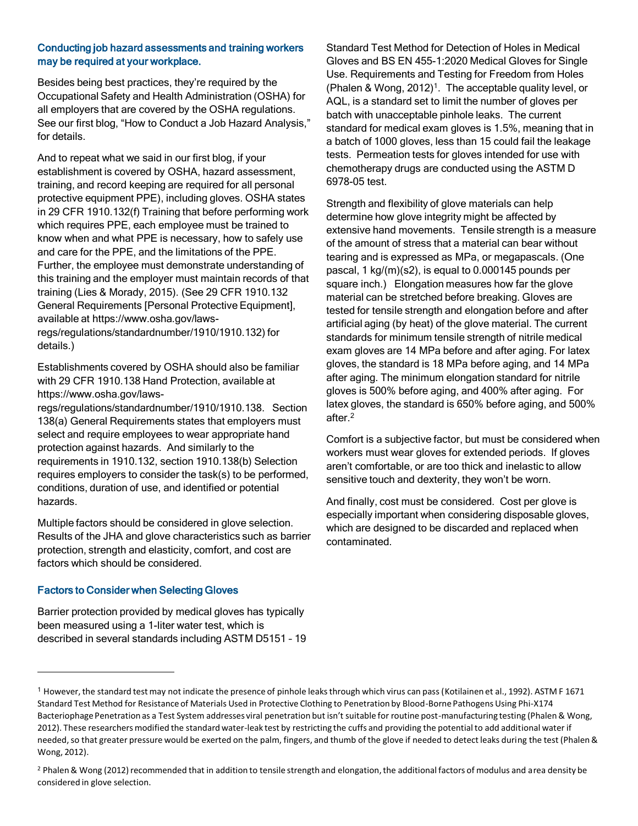#### Conducting job hazard assessments and training workers may be required at your workplace.

Besides being best practices, they're required by the Occupational Safety and Health Administration (OSHA) for all employers that are covered by the OSHA regulations. See our first blog, "How to Conduct a Job Hazard Analysis," for details.

And to repeat what we said in our first blog, if your establishment is covered by OSHA, hazard assessment, training, and record keeping are required for all personal protective equipment PPE), including gloves. OSHA states in 29 CFR 1910.132(f) Training that before performing work which requires PPE, each employee must be trained to know when and what PPE is necessary, how to safely use and care for the PPE, and the limitations of the PPE. Further, the employee must demonstrate understanding of this training and the employer must maintain records of that training (Lies & Morady, 2015). (See 29 CFR 1910.132 General Requirements [Personal Protective Equipment], available at https://www.osha.gov/lawsregs/regulations/standardnumber/1910/1910.132) for details.)

Establishments covered by OSHA should also be familiar with 29 CFR 1910.138 Hand Protection, available at https://www.osha.gov/laws-

regs/regulations/standardnumber/1910/1910.138. Section 138(a) General Requirements states that employers must select and require employees to wear appropriate hand protection against hazards. And similarly to the requirements in 1910.132, section 1910.138(b) Selection requires employers to consider the task(s) to be performed, conditions, duration of use, and identified or potential hazards.

Multiple factors should be considered in glove selection. Results of the JHA and glove characteristics such as barrier protection, strength and elasticity, comfort, and cost are factors which should be considered.

#### Factors to Consider when Selecting Gloves

Barrier protection provided by medical gloves has typically been measured using a 1-liter water test, which is described in several standards including ASTM D5151 – 19 Standard Test Method for Detection of Holes in Medical Gloves and BS EN 455-1:2020 Medical Gloves for Single Use. Requirements and Testing for Freedom from Holes (Phalen & Wong, 2012)<sup>1</sup>. The acceptable quality level, or AQL, is a standard set to limit the number of gloves per batch with unacceptable pinhole leaks. The current standard for medical exam gloves is 1.5%, meaning that in a batch of 1000 gloves, less than 15 could fail the leakage tests. Permeation tests for gloves intended for use with chemotherapy drugs are conducted using the ASTM D 6978-05 test.

Strength and flexibility of glove materials can help determine how glove integrity might be affected by extensive hand movements. Tensile strength is a measure of the amount of stress that a material can bear without tearing and is expressed as MPa, or megapascals. (One pascal, 1 kg/(m)(s2), is equal to 0.000145 pounds per square inch.) Elongation measures how far the glove material can be stretched before breaking. Gloves are tested for tensile strength and elongation before and after artificial aging (by heat) of the glove material. The current standards for minimum tensile strength of nitrile medical exam gloves are 14 MPa before and after aging. For latex gloves, the standard is 18 MPa before aging, and 14 MPa after aging. The minimum elongation standard for nitrile gloves is 500% before aging, and 400% after aging. For latex gloves, the standard is 650% before aging, and 500% after.<sup>2</sup>

Comfort is a subjective factor, but must be considered when workers must wear gloves for extended periods. If gloves aren't comfortable, or are too thick and inelastic to allow sensitive touch and dexterity, they won't be worn.

And finally, cost must be considered. Cost per glove is especially important when considering disposable gloves, which are designed to be discarded and replaced when contaminated.

<sup>1</sup> However, the standard test may not indicate the presence of pinhole leaks through which virus can pass (Kotilainen et al., 1992). ASTM F 1671 Standard Test Method for Resistance of Materials Used in Protective Clothing to Penetration by Blood-Borne Pathogens Using Phi-X174 Bacteriophage Penetration as a Test System addresses viral penetration but isn't suitable for routine post-manufacturing testing (Phalen & Wong, 2012). These researchers modified the standard water-leak test by restricting the cuffs and providing the potential to add additional water if needed, so that greater pressure would be exerted on the palm, fingers, and thumb of the glove if needed to detect leaks during the test (Phalen & Wong, 2012).

<sup>&</sup>lt;sup>2</sup> Phalen & Wong (2012) recommended that in addition to tensile strength and elongation, the additional factors of modulus and area density be considered in glove selection.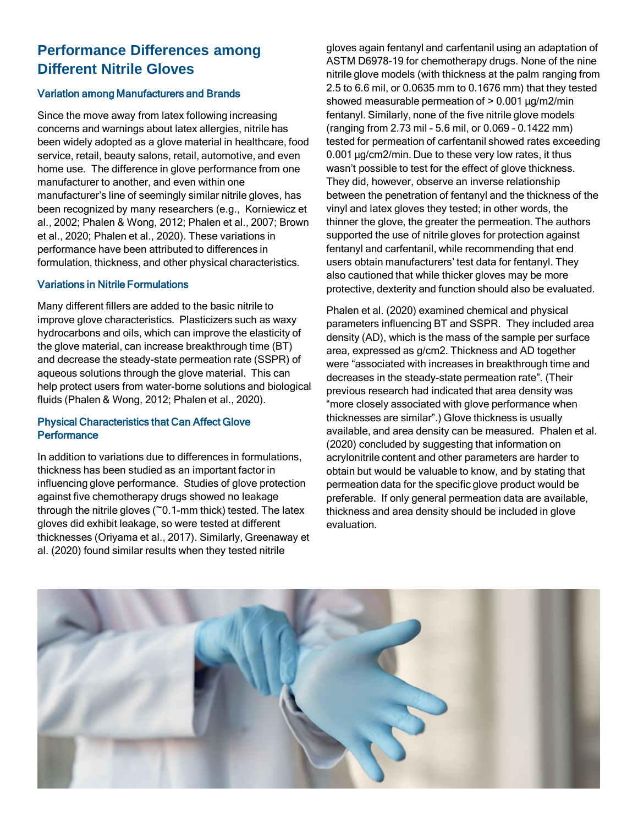## **Performance Differences among Different Nitrile Gloves**

#### Variation among Manufacturers and Brands

Since the move away from latex following increasing concerns and warnings about latex allergies, nitrile has been widely adopted as a glove material in healthcare, food service, retail, beauty salons, retail, automotive, and even home use. The difference in glove performance from one manufacturer to another, and even within one manufacturer's line of seemingly similar nitrile gloves, has been recognized by many researchers (e.g., Korniewicz et al., 2002; Phalen & Wong, 2012; Phalen et al., 2007; Brown et al., 2020; Phalen et al., 2020). These variations in performance have been attributed to differences in formulation, thickness, and other physical characteristics.

#### Variations in Nitrile Formulations

Many different fillers are added to the basic nitrile to improve glove characteristics. Plasticizers such as waxy hydrocarbons and oils, which can improve the elasticity of the glove material, can increase breakthrough time (BT) and decrease the steady-state permeation rate (SSPR) of aqueous solutions through the glove material. This can help protect users from water-borne solutions and biological fluids (Phalen & Wong, 2012; Phalen et al., 2020).

#### Physical Characteristics that Can Affect Glove **Performance**

In addition to variations due to differences in formulations, thickness has been studied as an important factor in influencing glove performance. Studies of glove protection against five chemotherapy drugs showed no leakage through the nitrile gloves ( $\tilde{C}$ 0.1-mm thick) tested. The latex gloves did exhibit leakage, so were tested at different thicknesses (Oriyama et al., 2017). Similarly, Greenaway et al. (2020) found similar results when they tested nitrile

gloves again fentanyl and carfentanil using an adaptation of ASTM D6978-19 for chemotherapy drugs. None of the nine nitrile glove models (with thickness at the palm ranging from 2.5 to 6.6 mil, or 0.0635 mm to 0.1676 mm) that they tested showed measurable permeation of  $> 0.001 \mu g/m2/min$ fentanyl. Similarly, none of the five nitrile glove models (ranging from 2.73 mil – 5.6 mil, or 0.069 – 0.1422 mm) tested for permeation of carfentanil showed rates exceeding 0.001 µg/cm2/min. Due to these very low rates, it thus wasn't possible to test for the effect of glove thickness. They did, however, observe an inverse relationship between the penetration of fentanyl and the thickness of the vinyl and latex gloves they tested; in other words, the thinner the glove, the greater the permeation. The authors supported the use of nitrile gloves for protection against fentanyl and carfentanil, while recommending that end users obtain manufacturers' test data for fentanyl. They also cautioned that while thicker gloves may be more protective, dexterity and function should also be evaluated.

Phalen et al. (2020) examined chemical and physical parameters influencing BT and SSPR. They included area density (AD), which is the mass of the sample per surface area, expressed as g/cm2. Thickness and AD together were "associated with increases in breakthrough time and decreases in the steady-state permeation rate". (Their previous research had indicated that area density was "more closely associated with glove performance when thicknesses are similar".) Glove thickness is usually available, and area density can be measured. Phalen et al. (2020) concluded by suggesting that information on acrylonitrile content and other parameters are harder to obtain but would be valuable to know, and by stating that permeation data for the specific glove product would be preferable. If only general permeation data are available, thickness and area density should be included in glove evaluation.

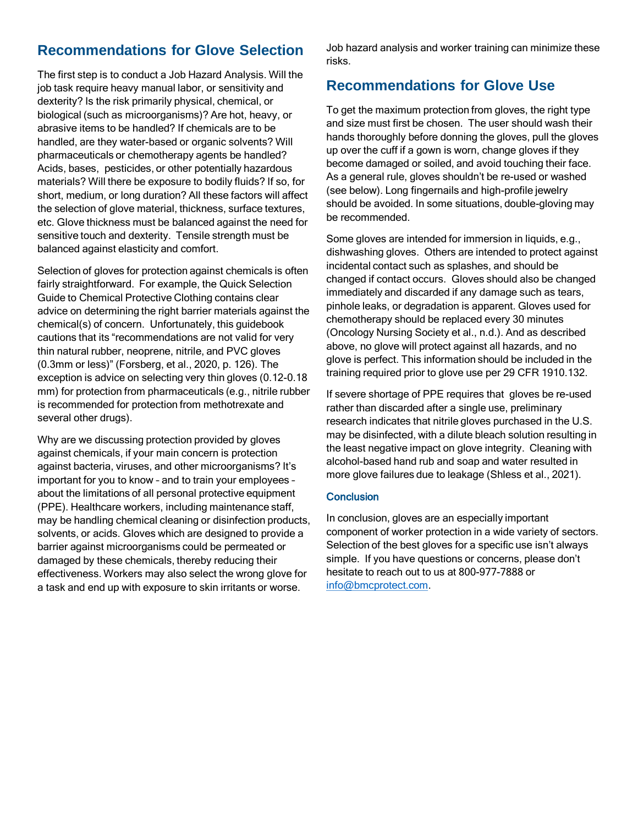## **Recommendations for Glove Selection**

The first step is to conduct a Job Hazard Analysis. Will the job task require heavy manual labor, or sensitivity and dexterity? Is the risk primarily physical, chemical, or biological (such as microorganisms)? Are hot, heavy, or abrasive items to be handled? If chemicals are to be handled, are they water-based or organic solvents? Will pharmaceuticals or chemotherapy agents be handled? Acids, bases, pesticides, or other potentially hazardous materials? Will there be exposure to bodily fluids? If so, for short, medium, or long duration? All these factors will affect the selection of glove material, thickness, surface textures, etc. Glove thickness must be balanced against the need for sensitive touch and dexterity. Tensile strength must be balanced against elasticity and comfort.

Selection of gloves for protection against chemicals is often fairly straightforward. For example, the Quick Selection Guide to Chemical Protective Clothing contains clear advice on determining the right barrier materials against the chemical(s) of concern. Unfortunately, this guidebook cautions that its "recommendations are not valid for very thin natural rubber, neoprene, nitrile, and PVC gloves (0.3mm or less)" (Forsberg, et al., 2020, p. 126). The exception is advice on selecting very thin gloves (0.12-0.18 mm) for protection from pharmaceuticals (e.g., nitrile rubber is recommended for protection from methotrexate and several other drugs).

Why are we discussing protection provided by gloves against chemicals, if your main concern is protection against bacteria, viruses, and other microorganisms? It's important for you to know – and to train your employees – about the limitations of all personal protective equipment (PPE). Healthcare workers, including maintenance staff, may be handling chemical cleaning or disinfection products, solvents, or acids. Gloves which are designed to provide a barrier against microorganisms could be permeated or damaged by these chemicals, thereby reducing their effectiveness. Workers may also select the wrong glove for a task and end up with exposure to skin irritants or worse.

Job hazard analysis and worker training can minimize these risks.

### **Recommendations for Glove Use**

To get the maximum protection from gloves, the right type and size must first be chosen. The user should wash their hands thoroughly before donning the gloves, pull the gloves up over the cuff if a gown is worn, change gloves if they become damaged or soiled, and avoid touching their face. As a general rule, gloves shouldn't be re-used or washed (see below). Long fingernails and high-profile jewelry should be avoided. In some situations, double-gloving may be recommended.

Some gloves are intended for immersion in liquids, e.g., dishwashing gloves. Others are intended to protect against incidental contact such as splashes, and should be changed if contact occurs. Gloves should also be changed immediately and discarded if any damage such as tears, pinhole leaks, or degradation is apparent. Gloves used for chemotherapy should be replaced every 30 minutes (Oncology Nursing Society et al., n.d.). And as described above, no glove will protect against all hazards, and no glove is perfect. This information should be included in the training required prior to glove use per 29 CFR 1910.132.

If severe shortage of PPE requires that gloves be re-used rather than discarded after a single use, preliminary research indicates that nitrile gloves purchased in the U.S. may be disinfected, with a dilute bleach solution resulting in the least negative impact on glove integrity. Cleaning with alcohol-based hand rub and soap and water resulted in more glove failures due to leakage (Shless et al., 2021).

#### **Conclusion**

In conclusion, gloves are an especially important component of worker protection in a wide variety of sectors. Selection of the best gloves for a specific use isn't always simple. If you have questions or concerns, please don't hesitate to reach out to us at 800-977-7888 or [info@bmcprotect.com](mailto:info@bmcprotect.com).